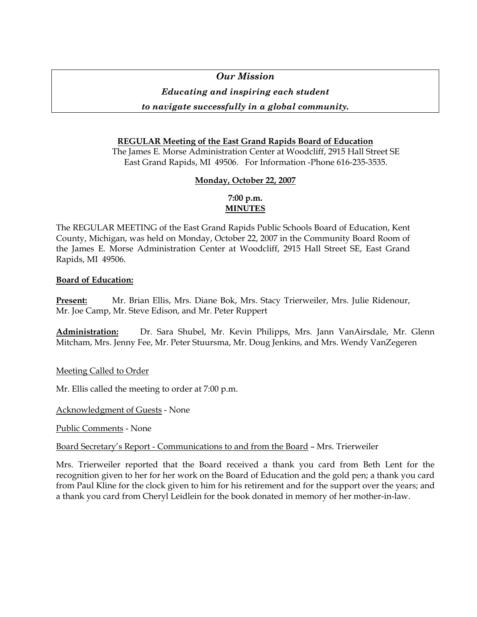# *Our Mission*

## *Educating and inspiring each student*

## *to navigate successfully in a global community.*

## **REGULAR Meeting of the East Grand Rapids Board of Education**

The James E. Morse Administration Center at Woodcliff, 2915 Hall Street SE East Grand Rapids, MI 49506. For Information -Phone 616-235-3535.

## **Monday, October 22, 2007**

## **7:00 p.m. MINUTES**

The REGULAR MEETING of the East Grand Rapids Public Schools Board of Education, Kent County, Michigan, was held on Monday, October 22, 2007 in the Community Board Room of the James E. Morse Administration Center at Woodcliff, 2915 Hall Street SE, East Grand Rapids, MI 49506.

## **Board of Education:**

**Present:** Mr. Brian Ellis, Mrs. Diane Bok, Mrs. Stacy Trierweiler, Mrs. Julie Ridenour, Mr. Joe Camp, Mr. Steve Edison, and Mr. Peter Ruppert

**Administration:** Dr. Sara Shubel, Mr. Kevin Philipps, Mrs. Jann VanAirsdale, Mr. Glenn Mitcham, Mrs. Jenny Fee, Mr. Peter Stuursma, Mr. Doug Jenkins, and Mrs. Wendy VanZegeren

Meeting Called to Order

Mr. Ellis called the meeting to order at 7:00 p.m.

Acknowledgment of Guests - None

Public Comments - None

Board Secretary's Report - Communications to and from the Board – Mrs. Trierweiler

Mrs. Trierweiler reported that the Board received a thank you card from Beth Lent for the recognition given to her for her work on the Board of Education and the gold pen; a thank you card from Paul Kline for the clock given to him for his retirement and for the support over the years; and a thank you card from Cheryl Leidlein for the book donated in memory of her mother-in-law.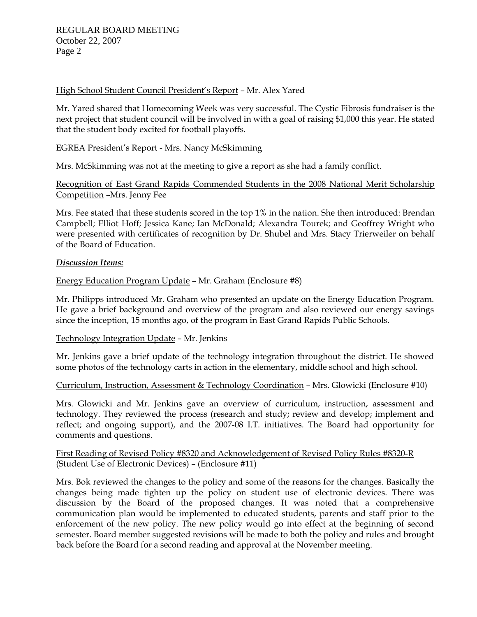## High School Student Council President's Report – Mr. Alex Yared

Mr. Yared shared that Homecoming Week was very successful. The Cystic Fibrosis fundraiser is the next project that student council will be involved in with a goal of raising \$1,000 this year. He stated that the student body excited for football playoffs.

## EGREA President's Report - Mrs. Nancy McSkimming

Mrs. McSkimming was not at the meeting to give a report as she had a family conflict.

Recognition of East Grand Rapids Commended Students in the 2008 National Merit Scholarship Competition –Mrs. Jenny Fee

Mrs. Fee stated that these students scored in the top 1% in the nation. She then introduced: Brendan Campbell; Elliot Hoff; Jessica Kane; Ian McDonald; Alexandra Tourek; and Geoffrey Wright who were presented with certificates of recognition by Dr. Shubel and Mrs. Stacy Trierweiler on behalf of the Board of Education.

### *Discussion Items:*

## Energy Education Program Update – Mr. Graham (Enclosure #8)

Mr. Philipps introduced Mr. Graham who presented an update on the Energy Education Program. He gave a brief background and overview of the program and also reviewed our energy savings since the inception, 15 months ago, of the program in East Grand Rapids Public Schools.

### Technology Integration Update – Mr. Jenkins

Mr. Jenkins gave a brief update of the technology integration throughout the district. He showed some photos of the technology carts in action in the elementary, middle school and high school.

### Curriculum, Instruction, Assessment & Technology Coordination – Mrs. Glowicki (Enclosure #10)

Mrs. Glowicki and Mr. Jenkins gave an overview of curriculum, instruction, assessment and technology. They reviewed the process (research and study; review and develop; implement and reflect; and ongoing support), and the 2007-08 I.T. initiatives. The Board had opportunity for comments and questions.

## First Reading of Revised Policy #8320 and Acknowledgement of Revised Policy Rules #8320-R (Student Use of Electronic Devices) – (Enclosure #11)

Mrs. Bok reviewed the changes to the policy and some of the reasons for the changes. Basically the changes being made tighten up the policy on student use of electronic devices. There was discussion by the Board of the proposed changes. It was noted that a comprehensive communication plan would be implemented to educated students, parents and staff prior to the enforcement of the new policy. The new policy would go into effect at the beginning of second semester. Board member suggested revisions will be made to both the policy and rules and brought back before the Board for a second reading and approval at the November meeting.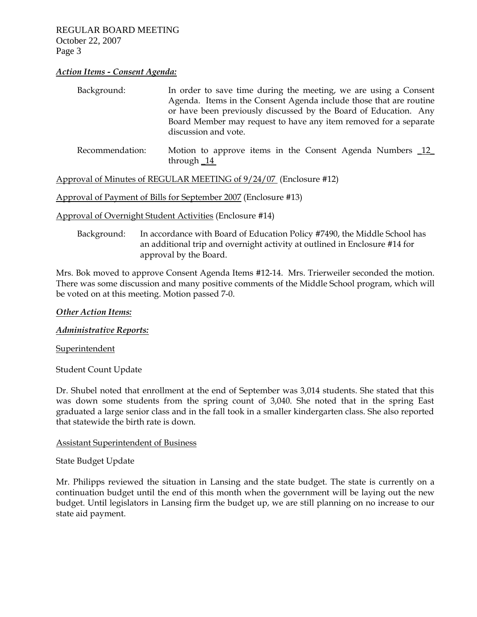### *Action Items - Consent Agenda:*

| Background:     | In order to save time during the meeting, we are using a Consent<br>Agenda. Items in the Consent Agenda include those that are routine<br>or have been previously discussed by the Board of Education. Any<br>Board Member may request to have any item removed for a separate<br>discussion and vote. |
|-----------------|--------------------------------------------------------------------------------------------------------------------------------------------------------------------------------------------------------------------------------------------------------------------------------------------------------|
| Recommendation: | Motion to approve items in the Consent Agenda Numbers _12_<br>through $\_\$ 14                                                                                                                                                                                                                         |

Approval of Minutes of REGULAR MEETING of 9/24/07 (Enclosure #12)

Approval of Payment of Bills for September 2007 (Enclosure #13)

Approval of Overnight Student Activities (Enclosure #14)

 Background: In accordance with Board of Education Policy #7490, the Middle School has an additional trip and overnight activity at outlined in Enclosure #14 for approval by the Board.

Mrs. Bok moved to approve Consent Agenda Items #12-14. Mrs. Trierweiler seconded the motion. There was some discussion and many positive comments of the Middle School program, which will be voted on at this meeting. Motion passed 7-0.

### *Other Action Items:*

*Administrative Reports:*

Superintendent

Student Count Update

Dr. Shubel noted that enrollment at the end of September was 3,014 students. She stated that this was down some students from the spring count of 3,040. She noted that in the spring East graduated a large senior class and in the fall took in a smaller kindergarten class. She also reported that statewide the birth rate is down.

### Assistant Superintendent of Business

State Budget Update

Mr. Philipps reviewed the situation in Lansing and the state budget. The state is currently on a continuation budget until the end of this month when the government will be laying out the new budget. Until legislators in Lansing firm the budget up, we are still planning on no increase to our state aid payment.